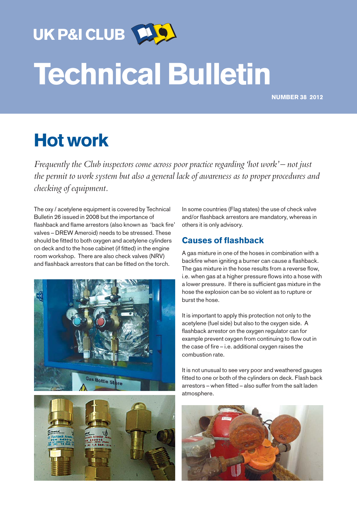UK P&I CLUB

# Technical Bulletin

NUMBER 38 2012

# Hot work

*Frequently the Club inspectors come across poor practice regarding 'hot work' – not just the permit to work system but also a general lack of awareness as to proper procedures and checking of equipment.*

The oxy / acetylene equipment is covered by Technical Bulletin 26 issued in 2008 but the importance of flashback and flame arrestors (also known as 'back fire' valves – DREW Ameroid) needs to be stressed. These should be fitted to both oxygen and acetylene cylinders on deck and to the hose cabinet (if fitted) in the engine room workshop. There are also check valves (NRV) and flashback arrestors that can be fitted on the torch.





In some countries (Flag states) the use of check valve and/or flashback arrestors are mandatory, whereas in others it is only advisory.

# Causes of flashback

A gas mixture in one of the hoses in combination with a backfire when igniting a burner can cause a flashback. The gas mixture in the hose results from a reverse flow, i.e. when gas at a higher pressure flows into a hose with a lower pressure. If there is sufficient gas mixture in the hose the explosion can be so violent as to rupture or burst the hose.

It is important to apply this protection not only to the acetylene (fuel side) but also to the oxygen side. A flashback arrestor on the oxygen regulator can for example prevent oxygen from continuing to flow out in the case of fire – i.e. additional oxygen raises the combustion rate.

It is not unusual to see very poor and weathered gauges fitted to one or both of the cylinders on deck. Flash back arrestors – when fitted – also suffer from the salt laden atmosphere.